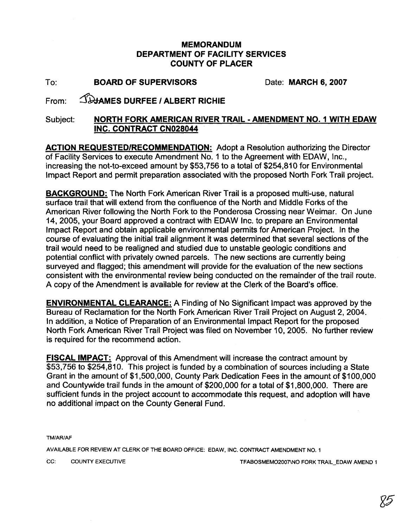## **MEMORANDUM DEPARTMENT OF FACILITY SERVICES COUNTY OF PLACER**

To: **BOARD OF SUPERVISORS** Date: **MARCH 6, 2007** 

## From: *SHAMES DURFEE / ALBERT RICHIE*

## Subject: **NORTH FORK AMERICAN RIVER TRAIL** - **AMENDMENT NO. 1 WITH EDAW INC. CONTRACT CN028044**

**ACTION REQUESTED/RECOMMENDATION:** Adopt a Resolution authorizing the Director<br>of Facility Services to execute Amendment No. 1 to the Agreement with EDAW, Inc., increasing the not-to-exceed amount by \$53,756 to a total of \$254,810 for Environmental lmpact Report and permit preparation associated with the proposed North Fork Trail project.

**BACKGROUND:** The North Fork American River Trail is a proposed multi-use, natural surface trail that will extend from the confluence of the North and Middle Forks of the American River following the North Fork to the Ponderosa Crossing near Weimar. On June 14, 2005, your Board approved a contract with EDAW Inc. to prepare an Environmental lmpact Report and obtain applicable environmental permits for American Project. In the course of evaluating the initial trail alignment it was determined that several sections of the trail would need to be realigned and studied due to unstable geologic conditions and potential conflict with privately owned parcels. The new sections are currently being surveyed and flagged; this amendment will provide for the evaluation of the new sections consistent with the environmental review being conducted on the remainder of the trail route. A copy of the Amendment is available for review at the Clerk of the Board's office.

**ENVIRONMENTAL CLEARANCE:** A Finding of No Significant lmpact was approved by the Bureau of Reclamation for the North Fork American River Trail Project on August 2,2004. In addition, a Notice of Preparation of an Environmental lmpact Report for the proposed North Fork American River Trail Project was filed on November 10, 2005. No further review is required for the recommend action.

**FISCAL IMPACT:** Approval of this Amendment will increase the contract amount by \$53,756 to \$254,810. This project is funded by a combination of sources including a State Grant in the amount of \$1,500,000, County Park Dedication Fees in the amount of \$100,000 and Countywide trail funds in the amount of \$200,000 for a total of \$1,800,000. There are sufficient funds in the project account to accommodate this request, and adoption will have no additional impact on the County General Fund.

TMIARIAF

AVAILABLE FOR REVIEW AT CLERK OF THE BOARD OFFICE: EDAW, INC. CONTRACT AMENDMENT NO. 1

CC: COUNTY EXECUTIVE COUNTY EXECUTIVE TEABOSMEMO2007\NO FORK TRAIL\_EDAW AMEND 1